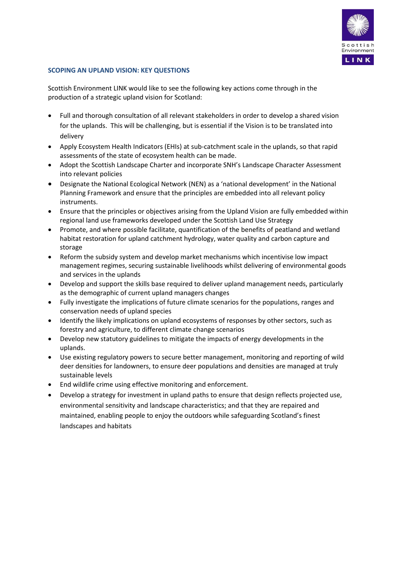

# **SCOPING AN UPLAND VISION: KEY QUESTIONS**

Scottish Environment LINK would like to see the following key actions come through in the production of a strategic upland vision for Scotland:

- Full and thorough consultation of all relevant stakeholders in order to develop a shared vision for the uplands. This will be challenging, but is essential if the Vision is to be translated into delivery
- Apply Ecosystem Health Indicators (EHIs) at sub-catchment scale in the uplands, so that rapid assessments of the state of ecosystem health can be made.
- Adopt the Scottish Landscape Charter and incorporate SNH's Landscape Character Assessment into relevant policies
- Designate the National Ecological Network (NEN) as a 'national development' in the National Planning Framework and ensure that the principles are embedded into all relevant policy instruments.
- Ensure that the principles or objectives arising from the Upland Vision are fully embedded within regional land use frameworks developed under the Scottish Land Use Strategy
- Promote, and where possible facilitate, quantification of the benefits of peatland and wetland habitat restoration for upland catchment hydrology, water quality and carbon capture and storage
- Reform the subsidy system and develop market mechanisms which incentivise low impact management regimes, securing sustainable livelihoods whilst delivering of environmental goods and services in the uplands
- Develop and support the skills base required to deliver upland management needs, particularly as the demographic of current upland managers changes
- Fully investigate the implications of future climate scenarios for the populations, ranges and conservation needs of upland species
- Identify the likely implications on upland ecosystems of responses by other sectors, such as forestry and agriculture, to different climate change scenarios
- Develop new statutory guidelines to mitigate the impacts of energy developments in the uplands.
- Use existing regulatory powers to secure better management, monitoring and reporting of wild deer densities for landowners, to ensure deer populations and densities are managed at truly sustainable levels
- End wildlife crime using effective monitoring and enforcement.
- Develop a strategy for investment in upland paths to ensure that design reflects projected use, environmental sensitivity and landscape characteristics; and that they are repaired and maintained, enabling people to enjoy the outdoors while safeguarding Scotland's finest landscapes and habitats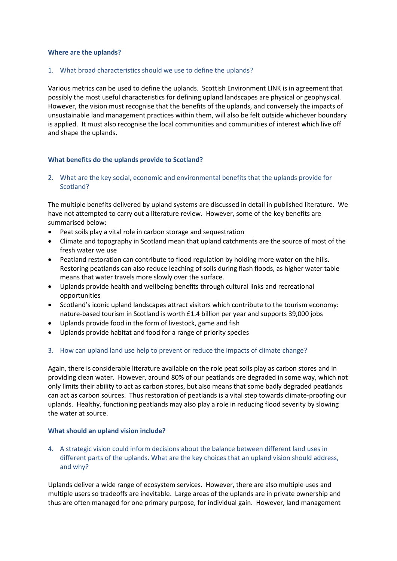#### **Where are the uplands?**

#### 1. What broad characteristics should we use to define the uplands?

Various metrics can be used to define the uplands. Scottish Environment LINK is in agreement that possibly the most useful characteristics for defining upland landscapes are physical or geophysical. However, the vision must recognise that the benefits of the uplands, and conversely the impacts of unsustainable land management practices within them, will also be felt outside whichever boundary is applied. It must also recognise the local communities and communities of interest which live off and shape the uplands.

## **What benefits do the uplands provide to Scotland?**

2. What are the key social, economic and environmental benefits that the uplands provide for Scotland?

The multiple benefits delivered by upland systems are discussed in detail in published literature. We have not attempted to carry out a literature review. However, some of the key benefits are summarised below:

- Peat soils play a vital role in carbon storage and sequestration
- Climate and topography in Scotland mean that upland catchments are the source of most of the fresh water we use
- Peatland restoration can contribute to flood regulation by holding more water on the hills. Restoring peatlands can also reduce leaching of soils during flash floods, as higher water table means that water travels more slowly over the surface.
- Uplands provide health and wellbeing benefits through cultural links and recreational opportunities
- Scotland's iconic upland landscapes attract visitors which contribute to the tourism economy: nature-based tourism in Scotland is worth £1.4 billion per year and supports 39,000 jobs
- Uplands provide food in the form of livestock, game and fish
- Uplands provide habitat and food for a range of priority species

## 3. How can upland land use help to prevent or reduce the impacts of climate change?

Again, there is considerable literature available on the role peat soils play as carbon stores and in providing clean water. However, around 80% of our peatlands are degraded in some way, which not only limits their ability to act as carbon stores, but also means that some badly degraded peatlands can act as carbon sources. Thus restoration of peatlands is a vital step towards climate-proofing our uplands. Healthy, functioning peatlands may also play a role in reducing flood severity by slowing the water at source.

#### **What should an upland vision include?**

4. A strategic vision could inform decisions about the balance between different land uses in different parts of the uplands. What are the key choices that an upland vision should address, and why?

Uplands deliver a wide range of ecosystem services. However, there are also multiple uses and multiple users so tradeoffs are inevitable. Large areas of the uplands are in private ownership and thus are often managed for one primary purpose, for individual gain. However, land management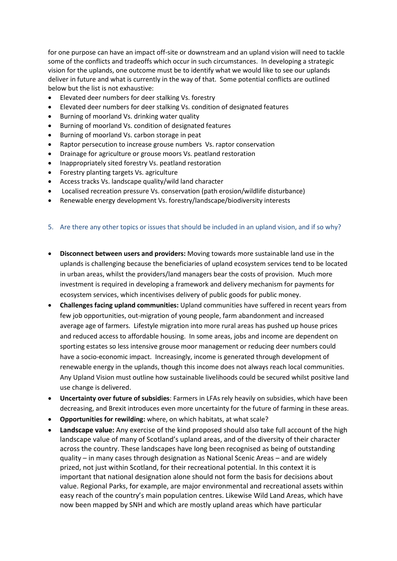for one purpose can have an impact off-site or downstream and an upland vision will need to tackle some of the conflicts and tradeoffs which occur in such circumstances. In developing a strategic vision for the uplands, one outcome must be to identify what we would like to see our uplands deliver in future and what is currently in the way of that. Some potential conflicts are outlined below but the list is not exhaustive:

- Elevated deer numbers for deer stalking Vs. forestry
- Elevated deer numbers for deer stalking Vs. condition of designated features
- Burning of moorland Vs. drinking water quality
- Burning of moorland Vs. condition of designated features
- Burning of moorland Vs. carbon storage in peat
- Raptor persecution to increase grouse numbers Vs. raptor conservation
- Drainage for agriculture or grouse moors Vs. peatland restoration
- Inappropriately sited forestry Vs. peatland restoration
- Forestry planting targets Vs. agriculture
- Access tracks Vs. landscape quality/wild land character
- Localised recreation pressure Vs. conservation (path erosion/wildlife disturbance)
- Renewable energy development Vs. forestry/landscape/biodiversity interests

## 5. Are there any other topics or issues that should be included in an upland vision, and if so why?

- **Disconnect between users and providers:** Moving towards more sustainable land use in the uplands is challenging because the beneficiaries of upland ecosystem services tend to be located in urban areas, whilst the providers/land managers bear the costs of provision. Much more investment is required in developing a framework and delivery mechanism for payments for ecosystem services, which incentivises delivery of public goods for public money.
- **Challenges facing upland communities:** Upland communities have suffered in recent years from few job opportunities, out-migration of young people, farm abandonment and increased average age of farmers. Lifestyle migration into more rural areas has pushed up house prices and reduced access to affordable housing. In some areas, jobs and income are dependent on sporting estates so less intensive grouse moor management or reducing deer numbers could have a socio-economic impact. Increasingly, income is generated through development of renewable energy in the uplands, though this income does not always reach local communities. Any Upland Vision must outline how sustainable livelihoods could be secured whilst positive land use change is delivered.
- **Uncertainty over future of subsidies**: Farmers in LFAs rely heavily on subsidies, which have been decreasing, and Brexit introduces even more uncertainty for the future of farming in these areas.
- **Opportunities for rewilding:** where, on which habitats, at what scale?
- **Landscape value:** Any exercise of the kind proposed should also take full account of the high landscape value of many of Scotland's upland areas, and of the diversity of their character across the country. These landscapes have long been recognised as being of outstanding quality – in many cases through designation as National Scenic Areas – and are widely prized, not just within Scotland, for their recreational potential. In this context it is important that national designation alone should not form the basis for decisions about value. Regional Parks, for example, are major environmental and recreational assets within easy reach of the country's main population centres. Likewise Wild Land Areas, which have now been mapped by SNH and which are mostly upland areas which have particular